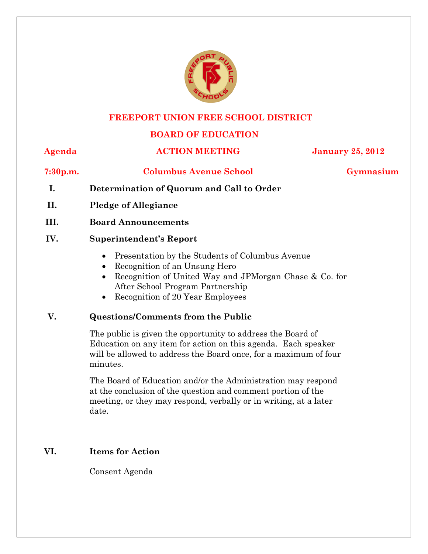

### **FREEPORT UNION FREE SCHOOL DISTRICT**

# **BOARD OF EDUCATION**

#### **Agenda ACTION MEETING January 25, 2012**

# **7:30p.m. Columbus Avenue School Gymnasium**

- **I. Determination of Quorum and Call to Order**
- **II. Pledge of Allegiance**
- **III. Board Announcements**

## **IV. Superintendent's Report**

- Presentation by the Students of Columbus Avenue
- Recognition of an Unsung Hero
- Recognition of United Way and JPMorgan Chase & Co. for After School Program Partnership
- Recognition of 20 Year Employees

# **V. Questions/Comments from the Public**

The public is given the opportunity to address the Board of Education on any item for action on this agenda. Each speaker will be allowed to address the Board once, for a maximum of four minutes.

The Board of Education and/or the Administration may respond at the conclusion of the question and comment portion of the meeting, or they may respond, verbally or in writing, at a later date.

# **VI. Items for Action**

Consent Agenda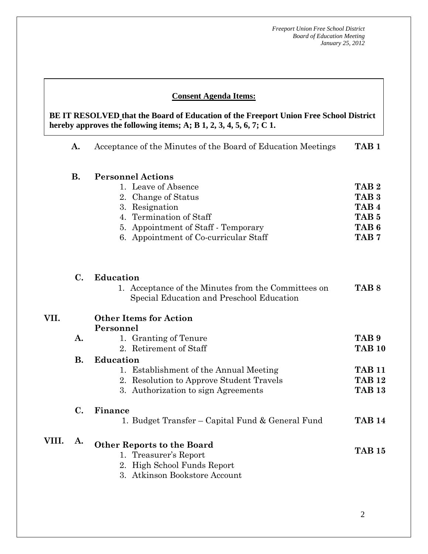#### **Consent Agenda Items:**

 **AA. Consent - Approve** 

 *Acceptance of the Minutes*  $\mathbf{A}$ **hereby approves the following iten BE IT RESOLVED that the Board of Education of the Freeport Union Free School District hereby approves the following items; A; B 1, 2, 3, 4, 5, 6, 7; C 1.** 

|       | A.                          | Acceptance of the Minutes of the Board of Education Meetings                                                                                                                                        | TAB <sub>1</sub>                                                                                                     |
|-------|-----------------------------|-----------------------------------------------------------------------------------------------------------------------------------------------------------------------------------------------------|----------------------------------------------------------------------------------------------------------------------|
|       | <b>B.</b>                   | <b>Personnel Actions</b><br>1. Leave of Absence<br>2. Change of Status<br>3. Resignation<br>4. Termination of Staff<br>5. Appointment of Staff - Temporary<br>6. Appointment of Co-curricular Staff | TAB <sub>2</sub><br>TAB <sub>3</sub><br>TAB <sub>4</sub><br>TAB <sub>5</sub><br>TAB <sub>6</sub><br>TAB <sub>7</sub> |
|       | C.                          | <b>Education</b><br>1. Acceptance of the Minutes from the Committees on<br>Special Education and Preschool Education                                                                                | TAB <sub>8</sub>                                                                                                     |
| VII.  |                             | <b>Other Items for Action</b><br>Personnel                                                                                                                                                          |                                                                                                                      |
|       | A.                          | 1. Granting of Tenure<br>2. Retirement of Staff                                                                                                                                                     | TAB <sub>9</sub><br><b>TAB 10</b>                                                                                    |
|       | <b>B.</b><br>$\mathbf{C}$ . | <b>Education</b><br>1. Establishment of the Annual Meeting<br>2. Resolution to Approve Student Travels<br>3. Authorization to sign Agreements<br>Finance                                            | <b>TAB 11</b><br><b>TAB 12</b><br><b>TAB 13</b>                                                                      |
|       |                             | 1. Budget Transfer – Capital Fund & General Fund                                                                                                                                                    | <b>TAB 14</b>                                                                                                        |
| VIII. | A.                          | <b>Other Reports to the Board</b><br>1. Treasurer's Report<br>2. High School Funds Report<br>3. Atkinson Bookstore Account                                                                          | <b>TAB 15</b>                                                                                                        |